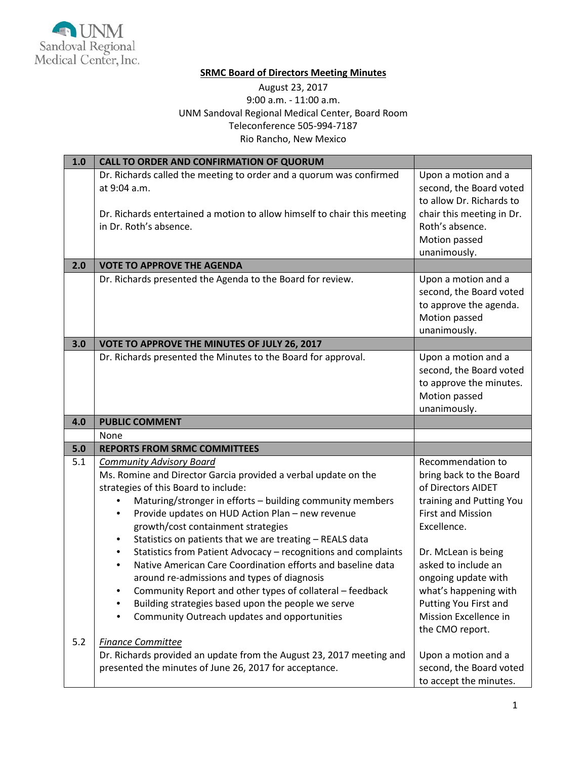

## **SRMC Board of Directors Meeting Minutes**

## August 23, 2017 9:00 a.m. - 11:00 a.m. UNM Sandoval Regional Medical Center, Board Room Teleconference 505-994-7187 Rio Rancho, New Mexico

| 1.0 | CALL TO ORDER AND CONFIRMATION OF QUORUM                                                                                                                                                                                                                                                                                                                                  |                                                                                                                                                                 |
|-----|---------------------------------------------------------------------------------------------------------------------------------------------------------------------------------------------------------------------------------------------------------------------------------------------------------------------------------------------------------------------------|-----------------------------------------------------------------------------------------------------------------------------------------------------------------|
|     | Dr. Richards called the meeting to order and a quorum was confirmed<br>at 9:04 a.m.                                                                                                                                                                                                                                                                                       | Upon a motion and a<br>second, the Board voted<br>to allow Dr. Richards to                                                                                      |
|     | Dr. Richards entertained a motion to allow himself to chair this meeting<br>in Dr. Roth's absence.                                                                                                                                                                                                                                                                        | chair this meeting in Dr.<br>Roth's absence.<br>Motion passed<br>unanimously.                                                                                   |
| 2.0 | <b>VOTE TO APPROVE THE AGENDA</b>                                                                                                                                                                                                                                                                                                                                         |                                                                                                                                                                 |
|     | Dr. Richards presented the Agenda to the Board for review.                                                                                                                                                                                                                                                                                                                | Upon a motion and a<br>second, the Board voted<br>to approve the agenda.<br>Motion passed<br>unanimously.                                                       |
| 3.0 | VOTE TO APPROVE THE MINUTES OF JULY 26, 2017                                                                                                                                                                                                                                                                                                                              |                                                                                                                                                                 |
|     | Dr. Richards presented the Minutes to the Board for approval.                                                                                                                                                                                                                                                                                                             | Upon a motion and a<br>second, the Board voted<br>to approve the minutes.<br>Motion passed<br>unanimously.                                                      |
| 4.0 | <b>PUBLIC COMMENT</b>                                                                                                                                                                                                                                                                                                                                                     |                                                                                                                                                                 |
|     | None                                                                                                                                                                                                                                                                                                                                                                      |                                                                                                                                                                 |
| 5.0 | <b>REPORTS FROM SRMC COMMITTEES</b>                                                                                                                                                                                                                                                                                                                                       |                                                                                                                                                                 |
| 5.1 | <b>Community Advisory Board</b><br>Ms. Romine and Director Garcia provided a verbal update on the<br>strategies of this Board to include:<br>Maturing/stronger in efforts - building community members<br>Provide updates on HUD Action Plan - new revenue<br>$\bullet$<br>growth/cost containment strategies<br>Statistics on patients that we are treating - REALS data | Recommendation to<br>bring back to the Board<br>of Directors AIDET<br>training and Putting You<br><b>First and Mission</b><br>Excellence.                       |
|     | Statistics from Patient Advocacy - recognitions and complaints<br>Native American Care Coordination efforts and baseline data<br>around re-admissions and types of diagnosis<br>Community Report and other types of collateral - feedback<br>Building strategies based upon the people we serve<br>Community Outreach updates and opportunities                           | Dr. McLean is being<br>asked to include an<br>ongoing update with<br>what's happening with<br>Putting You First and<br>Mission Excellence in<br>the CMO report. |
| 5.2 | <b>Finance Committee</b><br>Dr. Richards provided an update from the August 23, 2017 meeting and<br>presented the minutes of June 26, 2017 for acceptance.                                                                                                                                                                                                                | Upon a motion and a<br>second, the Board voted                                                                                                                  |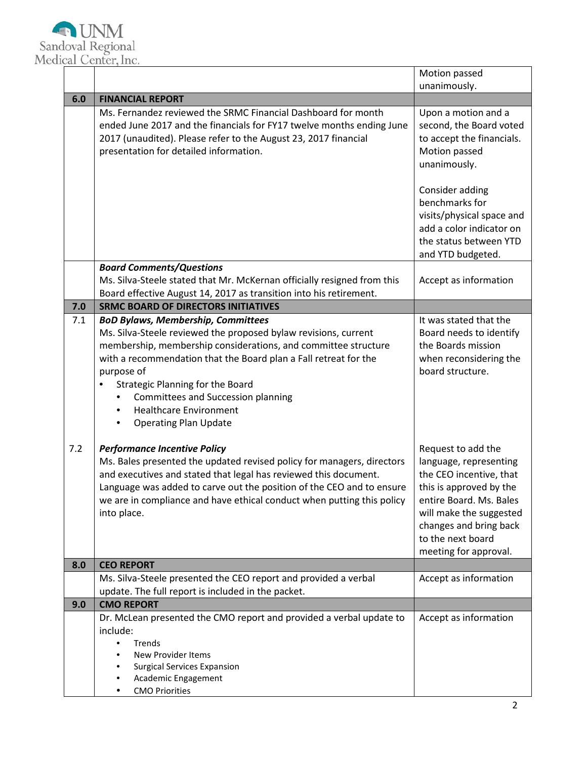|     |                                                                                                                                                                                                                                                                                                                                                                                                                          | Motion passed                                                                                                                                                                                                                    |
|-----|--------------------------------------------------------------------------------------------------------------------------------------------------------------------------------------------------------------------------------------------------------------------------------------------------------------------------------------------------------------------------------------------------------------------------|----------------------------------------------------------------------------------------------------------------------------------------------------------------------------------------------------------------------------------|
|     |                                                                                                                                                                                                                                                                                                                                                                                                                          | unanimously.                                                                                                                                                                                                                     |
| 6.0 | <b>FINANCIAL REPORT</b>                                                                                                                                                                                                                                                                                                                                                                                                  |                                                                                                                                                                                                                                  |
|     | Ms. Fernandez reviewed the SRMC Financial Dashboard for month<br>ended June 2017 and the financials for FY17 twelve months ending June<br>2017 (unaudited). Please refer to the August 23, 2017 financial<br>presentation for detailed information.                                                                                                                                                                      | Upon a motion and a<br>second, the Board voted<br>to accept the financials.<br>Motion passed<br>unanimously.                                                                                                                     |
|     |                                                                                                                                                                                                                                                                                                                                                                                                                          | Consider adding<br>benchmarks for<br>visits/physical space and<br>add a color indicator on<br>the status between YTD<br>and YTD budgeted.                                                                                        |
|     | <b>Board Comments/Questions</b>                                                                                                                                                                                                                                                                                                                                                                                          |                                                                                                                                                                                                                                  |
|     | Ms. Silva-Steele stated that Mr. McKernan officially resigned from this<br>Board effective August 14, 2017 as transition into his retirement.                                                                                                                                                                                                                                                                            | Accept as information                                                                                                                                                                                                            |
| 7.0 | <b>SRMC BOARD OF DIRECTORS INITIATIVES</b>                                                                                                                                                                                                                                                                                                                                                                               |                                                                                                                                                                                                                                  |
| 7.1 | <b>BoD Bylaws, Membership, Committees</b><br>Ms. Silva-Steele reviewed the proposed bylaw revisions, current<br>membership, membership considerations, and committee structure<br>with a recommendation that the Board plan a Fall retreat for the<br>purpose of<br>Strategic Planning for the Board<br>Committees and Succession planning<br><b>Healthcare Environment</b><br><b>Operating Plan Update</b><br>$\bullet$ | It was stated that the<br>Board needs to identify<br>the Boards mission<br>when reconsidering the<br>board structure.                                                                                                            |
| 7.2 | <b>Performance Incentive Policy</b><br>Ms. Bales presented the updated revised policy for managers, directors<br>and executives and stated that legal has reviewed this document.<br>Language was added to carve out the position of the CEO and to ensure<br>we are in compliance and have ethical conduct when putting this policy<br>into place.                                                                      | Request to add the<br>language, representing<br>the CEO incentive, that<br>this is approved by the<br>entire Board. Ms. Bales<br>will make the suggested<br>changes and bring back<br>to the next board<br>meeting for approval. |
| 8.0 | <b>CEO REPORT</b>                                                                                                                                                                                                                                                                                                                                                                                                        |                                                                                                                                                                                                                                  |
|     | Ms. Silva-Steele presented the CEO report and provided a verbal<br>update. The full report is included in the packet.                                                                                                                                                                                                                                                                                                    | Accept as information                                                                                                                                                                                                            |
| 9.0 | <b>CMO REPORT</b>                                                                                                                                                                                                                                                                                                                                                                                                        |                                                                                                                                                                                                                                  |
|     | Dr. McLean presented the CMO report and provided a verbal update to<br>include:<br>Trends<br>$\bullet$<br>New Provider Items<br><b>Surgical Services Expansion</b><br>Academic Engagement<br>٠<br><b>CMO Priorities</b>                                                                                                                                                                                                  | Accept as information                                                                                                                                                                                                            |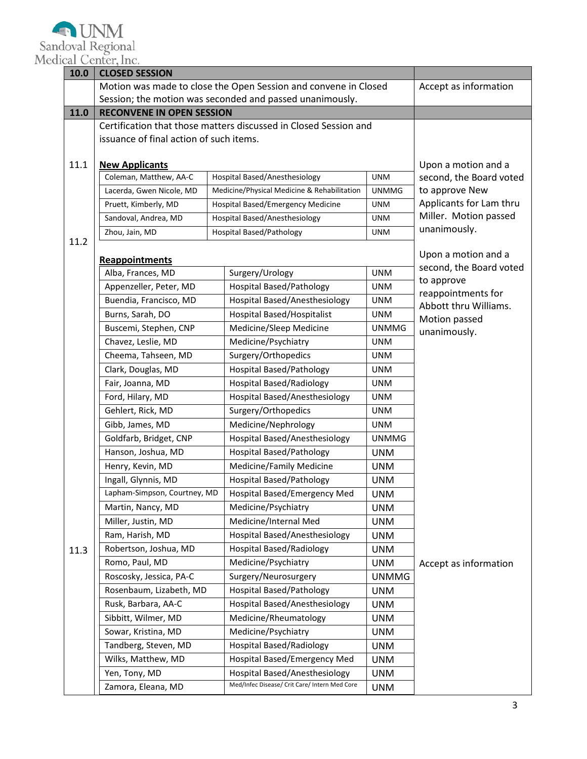| 10.0 | <b>CLOSED SESSION</b>                   |                                                                  |              |                                                  |  |  |  |
|------|-----------------------------------------|------------------------------------------------------------------|--------------|--------------------------------------------------|--|--|--|
|      |                                         | Motion was made to close the Open Session and convene in Closed  |              | Accept as information                            |  |  |  |
|      |                                         | Session; the motion was seconded and passed unanimously.         |              |                                                  |  |  |  |
| 11.0 | <b>RECONVENE IN OPEN SESSION</b>        |                                                                  |              |                                                  |  |  |  |
|      |                                         | Certification that those matters discussed in Closed Session and |              |                                                  |  |  |  |
|      | issuance of final action of such items. |                                                                  |              |                                                  |  |  |  |
|      |                                         |                                                                  |              |                                                  |  |  |  |
| 11.1 | <b>New Applicants</b>                   |                                                                  |              | Upon a motion and a                              |  |  |  |
|      | Coleman, Matthew, AA-C                  | Hospital Based/Anesthesiology                                    | <b>UNM</b>   | second, the Board voted                          |  |  |  |
|      | Lacerda, Gwen Nicole, MD                | Medicine/Physical Medicine & Rehabilitation                      | <b>UNMMG</b> | to approve New                                   |  |  |  |
|      | Pruett, Kimberly, MD                    | Hospital Based/Emergency Medicine                                | <b>UNM</b>   | Applicants for Lam thru<br>Miller. Motion passed |  |  |  |
|      | Sandoval, Andrea, MD                    | Hospital Based/Anesthesiology                                    | <b>UNM</b>   | unanimously.                                     |  |  |  |
| 11.2 | Zhou, Jain, MD                          | <b>Hospital Based/Pathology</b>                                  | <b>UNM</b>   |                                                  |  |  |  |
|      | <b>Reappointments</b>                   |                                                                  |              | Upon a motion and a                              |  |  |  |
|      | Alba, Frances, MD                       | Surgery/Urology                                                  | <b>UNM</b>   | second, the Board voted                          |  |  |  |
|      | Appenzeller, Peter, MD                  | <b>Hospital Based/Pathology</b>                                  | <b>UNM</b>   | to approve                                       |  |  |  |
|      | Buendia, Francisco, MD                  | Hospital Based/Anesthesiology                                    | <b>UNM</b>   | reappointments for<br>Abbott thru Williams.      |  |  |  |
|      | Burns, Sarah, DO                        | <b>Hospital Based/Hospitalist</b>                                | <b>UNM</b>   | Motion passed                                    |  |  |  |
|      | Buscemi, Stephen, CNP                   | Medicine/Sleep Medicine                                          | <b>UNMMG</b> | unanimously.                                     |  |  |  |
|      | Chavez, Leslie, MD                      | Medicine/Psychiatry                                              | <b>UNM</b>   |                                                  |  |  |  |
|      | Cheema, Tahseen, MD                     | Surgery/Orthopedics                                              | <b>UNM</b>   |                                                  |  |  |  |
|      | Clark, Douglas, MD                      | <b>Hospital Based/Pathology</b>                                  | <b>UNM</b>   |                                                  |  |  |  |
|      | Fair, Joanna, MD                        | <b>Hospital Based/Radiology</b>                                  | <b>UNM</b>   |                                                  |  |  |  |
|      | Ford, Hilary, MD                        | Hospital Based/Anesthesiology                                    | <b>UNM</b>   |                                                  |  |  |  |
|      | Gehlert, Rick, MD                       | Surgery/Orthopedics                                              | <b>UNM</b>   |                                                  |  |  |  |
|      | Gibb, James, MD                         | Medicine/Nephrology                                              | <b>UNM</b>   |                                                  |  |  |  |
|      | Goldfarb, Bridget, CNP                  | Hospital Based/Anesthesiology                                    | <b>UNMMG</b> |                                                  |  |  |  |
|      | Hanson, Joshua, MD                      | <b>Hospital Based/Pathology</b>                                  | <b>UNM</b>   |                                                  |  |  |  |
|      | Henry, Kevin, MD                        | Medicine/Family Medicine                                         | <b>UNM</b>   |                                                  |  |  |  |
|      | Ingall, Glynnis, MD                     | <b>Hospital Based/Pathology</b>                                  | <b>UNM</b>   |                                                  |  |  |  |
|      | Lapham-Simpson, Courtney, MD            | Hospital Based/Emergency Med                                     | <b>UNM</b>   |                                                  |  |  |  |
|      | Martin, Nancy, MD                       | Medicine/Psychiatry                                              | <b>UNM</b>   |                                                  |  |  |  |
|      | Miller, Justin, MD                      | Medicine/Internal Med                                            | <b>UNM</b>   |                                                  |  |  |  |
|      | Ram, Harish, MD                         | Hospital Based/Anesthesiology                                    | <b>UNM</b>   |                                                  |  |  |  |
| 11.3 | Robertson, Joshua, MD                   | <b>Hospital Based/Radiology</b>                                  | <b>UNM</b>   |                                                  |  |  |  |
|      | Romo, Paul, MD                          | Medicine/Psychiatry                                              | <b>UNM</b>   | Accept as information                            |  |  |  |
|      | Roscosky, Jessica, PA-C                 | Surgery/Neurosurgery                                             | <b>UNMMG</b> |                                                  |  |  |  |
|      | Rosenbaum, Lizabeth, MD                 | <b>Hospital Based/Pathology</b>                                  | <b>UNM</b>   |                                                  |  |  |  |
|      | Rusk, Barbara, AA-C                     | Hospital Based/Anesthesiology                                    | <b>UNM</b>   |                                                  |  |  |  |
|      | Sibbitt, Wilmer, MD                     | Medicine/Rheumatology                                            | <b>UNM</b>   |                                                  |  |  |  |
|      | Sowar, Kristina, MD                     | Medicine/Psychiatry                                              | <b>UNM</b>   |                                                  |  |  |  |
|      | Tandberg, Steven, MD                    | <b>Hospital Based/Radiology</b>                                  | <b>UNM</b>   |                                                  |  |  |  |
|      | Wilks, Matthew, MD                      | Hospital Based/Emergency Med                                     | <b>UNM</b>   |                                                  |  |  |  |
|      | Yen, Tony, MD                           | Hospital Based/Anesthesiology                                    | <b>UNM</b>   |                                                  |  |  |  |
|      | Zamora, Eleana, MD                      | Med/Infec Disease/ Crit Care/ Intern Med Core                    | <b>UNM</b>   |                                                  |  |  |  |